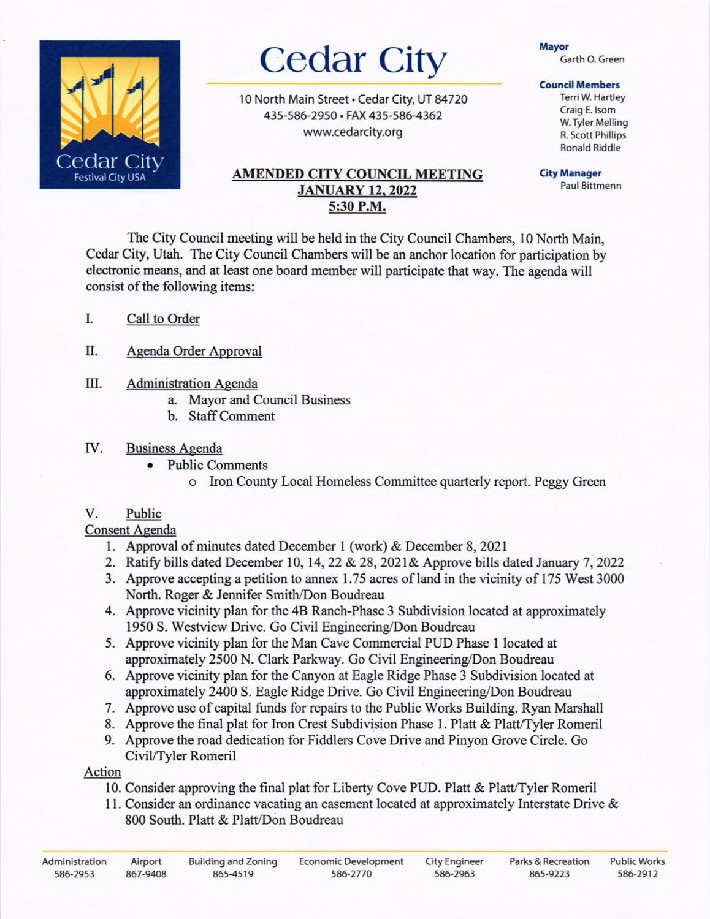

# Cedar City

10 North Main Street . Cedar City, UT 84720 43s-s8G2950. FAX 435-586-4362 www.cedarcity.org

## AMENDED CITY COUNCIL MEETING **JANUARY 12, 2022** 5:30 P.M.

### Mayor

Garth O. Green

#### **Council Members**

TerriW. Hartley Craig E.lsom w.Tyler Melling R. Scott Phillips Ronald Riddle

City Manager Paul Bittmenn

The City Council meeting will be held in the City Council Chambers, 10 North Main, Cedar City, Utah. The City Council Chambers will be an anchor location for participation by electronic means, and at least one board member will participate that way. The agenda will consist of the following items:

- I. Call to Order
- II. Agenda Order Approval
- III. Administration Agenda
	- a. Mayor and Council Business
	- b. Staff Comment
- Business Agenda IV
	- e Public Comments
		- o Iron County Local Homeless Committee quarterly report. Peggy Green

# V. Public

# Consent Agenda

- 1. Approval of minutes dated December 1 (work) & December 8, 2021
- 2. Ratify bills dated December 10, 14, 22 & 28, 2021& Approve bills dated January 7, 2022
- 3. Approve accepting a petition to annex 1.75 acres of land in the vicinity of 175 West 3000 North. Roger & Jennifer Smith/Don Boudreau
- 4. Approve vicinity plan for the 48 Ranch-Phase 3 Subdivision located at approximately 1950 S. Westview Drive. Go Civil Engineering/Don Boudreau
- 5. Approve vicinity plan for the Man Cave Commercial PUD Phase I located at approximately 2500 N. Clark Parkway. Go Civil Engineering/Don Boudreau
- 6. Approve vicinity plan for the Canyon at Eagle Ridge Phase 3 Subdivision located at approximately 2400 S. Eagle Ridge Drive. Go Civil Engineering/Don Boudreau
- 7. Approve use of capital funds for repairs to the Public Works Building. Ryan Marshall
- 8. Approve the final plat for Iron Crest Subdivision Phase 1. Platt & Platt/Tyler Romeril
- 9. Approve the road dedication for Fiddlers Cove Drive and Pinyon Grove Circle. Go CiviVTyler Romeril

# Action

- 10. Consider approving the final plat for Liberty Cove PUD. Platt & Platt/Tyler Romeril
- 11. Consider an ordinance vacating an easement located at approximately lnterstate Drive & 800 South. Platt & Platt/Don Boudreau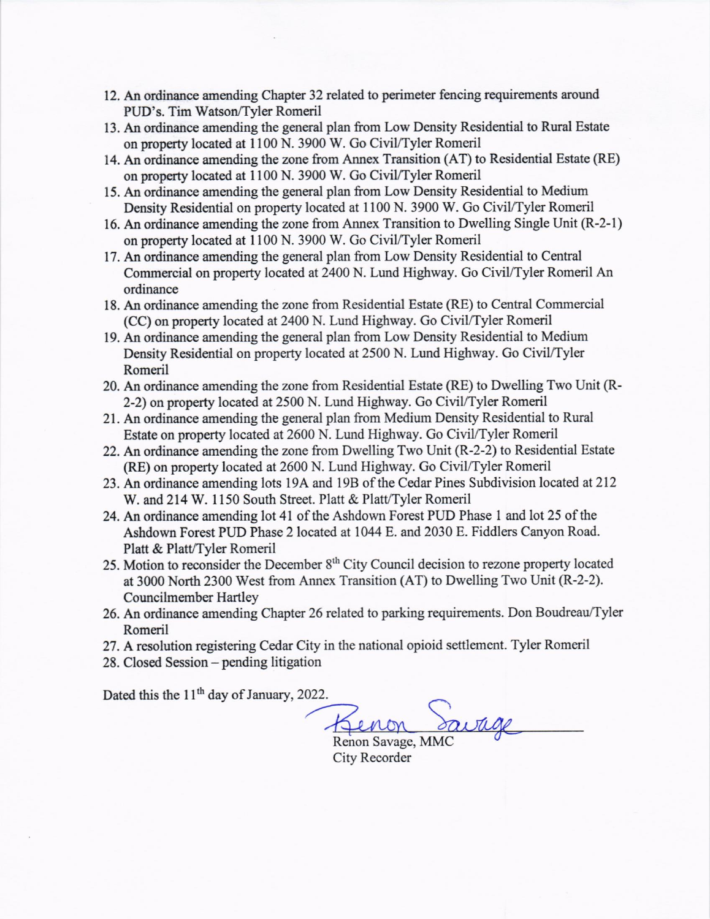- 12. An ordinance amending Chapter 32 related to perimeter fencing requirements around PUD's. Tim Watson/Tyler Romeril
- 13. An ondinance amending the general plan from Low Density Residential to Rural Estate on property located at 1100 N. 3900 W. Go Civil/Tyler Romeril
- 14. An ordinance amending the zone from Annex Transition (AT) to Residential Estate (RE) on property located at 1100 N. 3900 W. Go Civil/Tyler Romeril
- 15. An ordinance amending the general plan from Low Density Residential to Medium Density Residential on property located at 1100 N. 3900 W. Go Civil/Tyler Romeril
- 16. An ordinance amending the zone from Annex Transition to Dwelling Single Unit (R-2-l) on property located at 1100 N. 3900 W. Go Civil/Tyler Romeril
- 17. An ordinance amending the general plan from Low Density Residential to Central Commercial on property located at 2400 N. Lund Highway. Go Civil/Tyler Romeril An ordinance
- 18. An ordinance amending the zone from Residential Estate (RE) to Central Commercial (CC) on property located at 2400 N. Lund Highway. Go CiviUTyler Romeril
- 19. An ordinance arnending the general plan from Low Density Residential to Medium Density Residential on property located at 2500 N. Lund Highway. Go Civil/Tyler Romeril
- 20. An ordinance amending the zone from Residential Estate (RE) to Dwelling Two Unit (R-2-2) on property located at 2500 N. Lund Highway. Go Civil/Tyler Romeril
- 21. An ordinance amending the general plan from Medium Density Residential to Rural Estate on property located at 2600 N. Lund Highway. Go Civil/Tyler Romeril
- 22. An ordinance amending the zone from Dwelling Two Unit (R-2-2) to Residential Estate (RE) on property located at 2600 N. Lund Highway. Go Civil/Tyler Romeril
- 23. An ordinance amending lots 19A and 19B of the Cedar Pines Subdivision located at 212 W. and 214 W. 1150 South Street. Platt & Platt/Tyler Romeril
- 24. An ordinance amending lot 41 of the Ashdown Forest PUD Phase 1 and lot 25 of the Ashdown Forest PUD Phase 2 located at 1044 E. and 2030 E. Fiddlers Canyon Road. Platt & Platt/Tyler Romeril
- 25. Motion to reconsider the December 8<sup>th</sup> City Council decision to rezone property located at 3000 North 2300 West from Annex Transition (AT) to Dwelling Two Unit (R-2-2). Councilmember Hartley
- 26. An ordinance amending Chapter 26 related to parking requirements. Don Boudreau/Tyler Romeril
- 27. A resolution registering Cedar City in the national opioid settlernent. Tyler Romeril
- 28. Closed Session pending litigation

Dated this the 11<sup>th</sup> day of January, 2022.

Benon

Renon Savage, MMC City Recorder